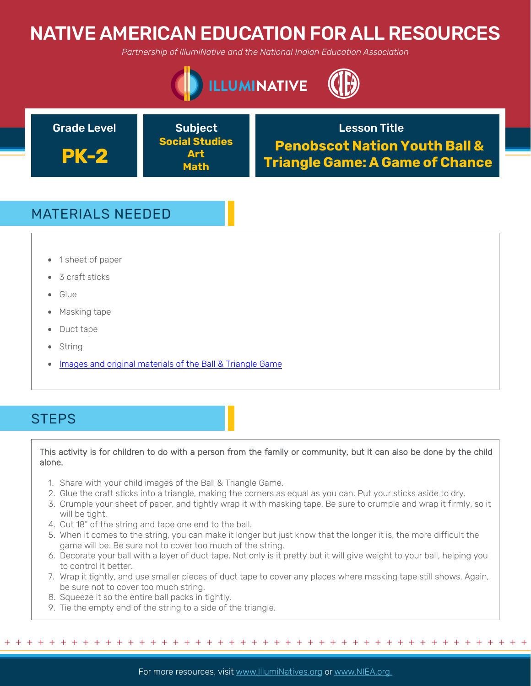# NATIVE AMERICAN EDUCATION FOR ALL RESOURCES

*Partnership of IllumiNative and the National Indian Education Association*



**PK-2**

**Social Studies Art Math**

Grade Level **Construction Construction Construction** Crade Lesson Title **Penobscot Nation Youth Ball & Triangle Game: A Game of Chance**

## MATERIALS NEEDED

- 1 sheet of paper
- 3 craft sticks
- Glue
- Masking tape
- Duct tape
- String
- Images and original materials of the Ball & Triangle Game

### **STEPS**

### This activity is for children to do with a person from the family or community, but it can also be done by the child alone.

- 1. Share with your child images of the Ball & Triangle Game.
- 2. Glue the craft sticks into a triangle, making the corners as equal as you can. Put your sticks aside to dry.
- 3. Crumple your sheet of paper, and tightly wrap it with masking tape. Be sure to crumple and wrap it firmly, so it will be tight.
- 4. Cut 18" of the string and tape one end to the ball.
- 5. When it comes to the string, you can make it longer but just know that the longer it is, the more difficult the game will be. Be sure not to cover too much of the string.
- 6. Decorate your ball with a layer of duct tape. Not only is it pretty but it will give weight to your ball, helping you to control it better.
- 7. Wrap it tightly, and use smaller pieces of duct tape to cover any places where masking tape still shows. Again, be sure not to cover too much string.

+ + + + + + + + + + + + + + + + + + + + + + + + + + + + + + + + + + + + + + + + + + + + + + + +

- 8. Squeeze it so the entire ball packs in tightly.
- 9. Tie the empty end of the string to a side of the triangle.

For more resources, visit www.lllumiNatives.org or www.NIEA.org.